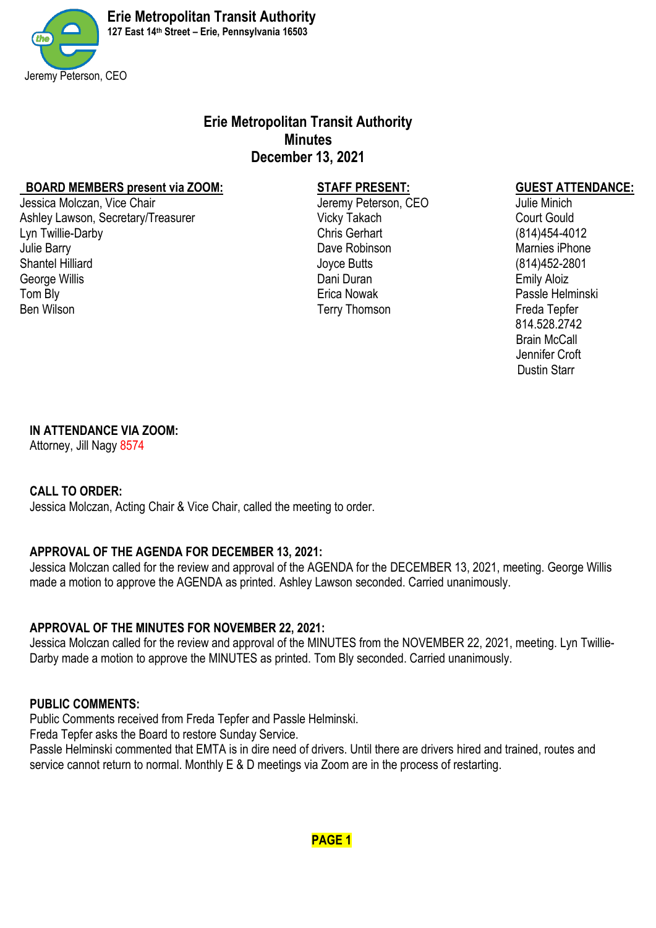

# **Erie Metropolitan Transit Authority Minutes December 13, 2021**

#### **BOARD MEMBERS present via ZOOM: STAFF PRESENT: GUEST ATTENDANCE:**

Jessica Molczan, Vice Chair **Jeremy Peterson, CEO** Julie Minich Ashley Lawson, Secretary/Treasurer and Ashley Vicky Takach Court Gould Court Gould Lyn Twillie-Darby Chris Gerhart (814)454-4012 Julie Barry **Dave Robinson** Dave Robinson Marnies iPhone Containers in the Shantel Hilliard Containers in the Shantel Hilliard Containers in the Shantel Hilliard Containers in the Marnies iPhone Shantel Hilliard Containers George Willis **Contract Contract Contract Contract Contract Contract Contract Contract Contract Contract Contract Contract Contract Contract Contract Contract Contract Contract Contract Contract Contract Contract Contract** Tom Blv **Erica Nowak** Passle Helminski Ben Wilson **Terry Thomson** Terry Thomson

Shantel Hilliard 1908 (814) 1922-2801

 814.528.2742 Brain McCall Jennifer Croft Dustin Starr

## **IN ATTENDANCE VIA ZOOM:**

Attorney, Jill Nagy 8574

## **CALL TO ORDER:**

Jessica Molczan, Acting Chair & Vice Chair, called the meeting to order.

## **APPROVAL OF THE AGENDA FOR DECEMBER 13, 2021:**

Jessica Molczan called for the review and approval of the AGENDA for the DECEMBER 13, 2021, meeting. George Willis made a motion to approve the AGENDA as printed. Ashley Lawson seconded. Carried unanimously.

## **APPROVAL OF THE MINUTES FOR NOVEMBER 22, 2021:**

Jessica Molczan called for the review and approval of the MINUTES from the NOVEMBER 22, 2021, meeting. Lyn Twillie-Darby made a motion to approve the MINUTES as printed. Tom Bly seconded. Carried unanimously.

## **PUBLIC COMMENTS:**

Public Comments received from Freda Tepfer and Passle Helminski.

Freda Tepfer asks the Board to restore Sunday Service.

Passle Helminski commented that EMTA is in dire need of drivers. Until there are drivers hired and trained, routes and service cannot return to normal. Monthly E & D meetings via Zoom are in the process of restarting.

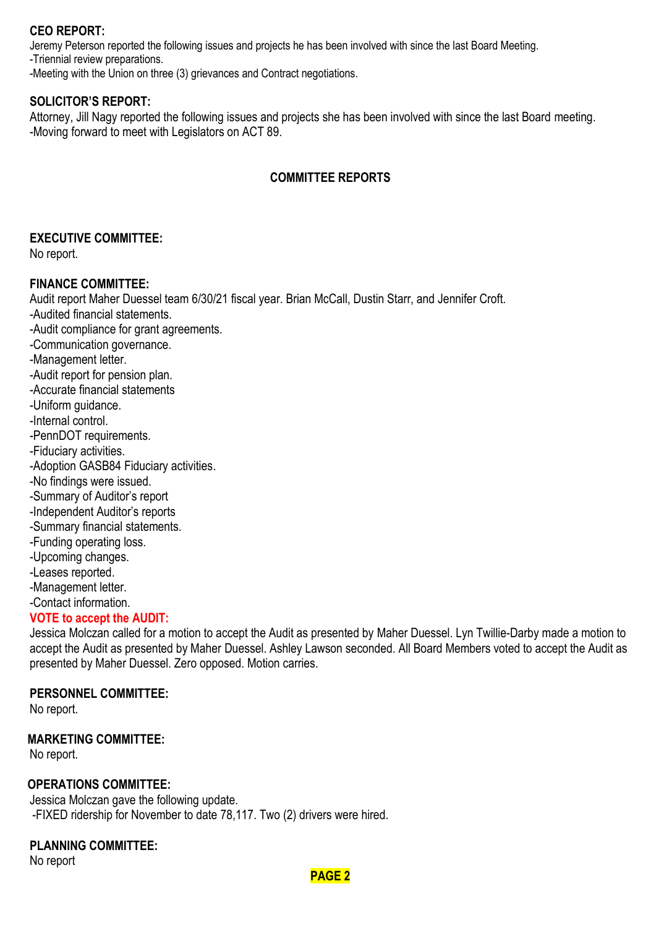## **CEO REPORT:**

Jeremy Peterson reported the following issues and projects he has been involved with since the last Board Meeting.

-Triennial review preparations.

-Meeting with the Union on three (3) grievances and Contract negotiations.

### **SOLICITOR'S REPORT:**

Attorney, Jill Nagy reported the following issues and projects she has been involved with since the last Board meeting. -Moving forward to meet with Legislators on ACT 89.

## **COMMITTEE REPORTS**

### **EXECUTIVE COMMITTEE:**

No report.

### **FINANCE COMMITTEE:**

Audit report Maher Duessel team 6/30/21 fiscal year. Brian McCall, Dustin Starr, and Jennifer Croft.

-Audited financial statements. -Audit compliance for grant agreements.

-Communication governance. -Management letter. -Audit report for pension plan. -Accurate financial statements

- -Uniform guidance.
- -Internal control.
- 
- -PennDOT requirements.
- -Fiduciary activities.
- -Adoption GASB84 Fiduciary activities.
- -No findings were issued.
- -Summary of Auditor's report
- -Independent Auditor's reports
- -Summary financial statements.
- -Funding operating loss.
- -Upcoming changes.
- -Leases reported.
- -Management letter.
- -Contact information.

### **VOTE to accept the AUDIT:**

Jessica Molczan called for a motion to accept the Audit as presented by Maher Duessel. Lyn Twillie-Darby made a motion to accept the Audit as presented by Maher Duessel. Ashley Lawson seconded. All Board Members voted to accept the Audit as presented by Maher Duessel. Zero opposed. Motion carries.

### **PERSONNEL COMMITTEE:**

No report.

### **MARKETING COMMITTEE:**

No report.

### **OPERATIONS COMMITTEE:**

Jessica Molczan gave the following update. -FIXED ridership for November to date 78,117. Two (2) drivers were hired.

## **PLANNING COMMITTEE:**

No report